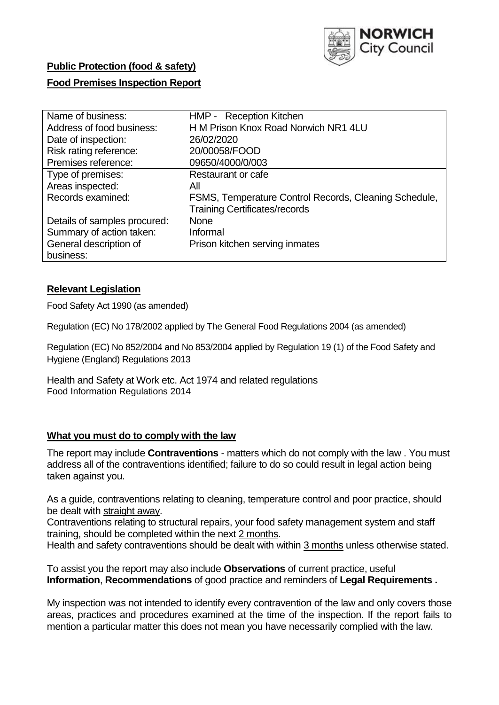

# **Public Protection (food & safety)**

### **Food Premises Inspection Report**

| Name of business:            | HMP - Reception Kitchen                               |
|------------------------------|-------------------------------------------------------|
| Address of food business:    | H M Prison Knox Road Norwich NR1 4LU                  |
| Date of inspection:          | 26/02/2020                                            |
| Risk rating reference:       | 20/00058/FOOD                                         |
| Premises reference:          | 09650/4000/0/003                                      |
| Type of premises:            | Restaurant or cafe                                    |
| Areas inspected:             | All                                                   |
| Records examined:            | FSMS, Temperature Control Records, Cleaning Schedule, |
|                              | <b>Training Certificates/records</b>                  |
| Details of samples procured: | <b>None</b>                                           |
| Summary of action taken:     | Informal                                              |
| General description of       | Prison kitchen serving inmates                        |
| business:                    |                                                       |

#### **Relevant Legislation**

Food Safety Act 1990 (as amended)

Regulation (EC) No 178/2002 applied by The General Food Regulations 2004 (as amended)

Regulation (EC) No 852/2004 and No 853/2004 applied by Regulation 19 (1) of the Food Safety and Hygiene (England) Regulations 2013

Health and Safety at Work etc. Act 1974 and related regulations Food Information Regulations 2014

#### **What you must do to comply with the law**

The report may include **Contraventions** - matters which do not comply with the law . You must address all of the contraventions identified; failure to do so could result in legal action being taken against you.

As a guide, contraventions relating to cleaning, temperature control and poor practice, should be dealt with straight away.

Contraventions relating to structural repairs, your food safety management system and staff training, should be completed within the next 2 months.

Health and safety contraventions should be dealt with within 3 months unless otherwise stated.

To assist you the report may also include **Observations** of current practice, useful **Information**, **Recommendations** of good practice and reminders of **Legal Requirements .**

My inspection was not intended to identify every contravention of the law and only covers those areas, practices and procedures examined at the time of the inspection. If the report fails to mention a particular matter this does not mean you have necessarily complied with the law.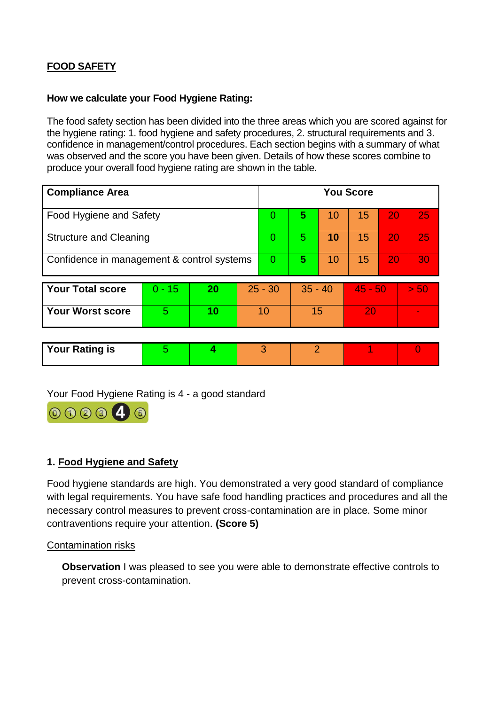# **FOOD SAFETY**

### **How we calculate your Food Hygiene Rating:**

The food safety section has been divided into the three areas which you are scored against for the hygiene rating: 1. food hygiene and safety procedures, 2. structural requirements and 3. confidence in management/control procedures. Each section begins with a summary of what was observed and the score you have been given. Details of how these scores combine to produce your overall food hygiene rating are shown in the table.

| <b>Compliance Area</b>                     |    |           |   | <b>You Score</b> |    |           |    |      |  |  |  |
|--------------------------------------------|----|-----------|---|------------------|----|-----------|----|------|--|--|--|
| Food Hygiene and Safety                    |    |           |   | 5                | 10 | 15        | 20 | 25   |  |  |  |
| <b>Structure and Cleaning</b>              |    |           |   | 5                | 10 | 15        | 20 | 25   |  |  |  |
| Confidence in management & control systems |    |           | 0 | 5                | 10 | 15        | 20 | 30   |  |  |  |
|                                            |    |           |   |                  |    |           |    |      |  |  |  |
| $0 - 15$                                   | 20 | $25 - 30$ |   | $35 - 40$        |    | $45 - 50$ |    | > 50 |  |  |  |
| 5                                          | 10 | 10        |   | 15               |    | 20        |    |      |  |  |  |
|                                            |    |           |   | 0<br>0           |    |           |    |      |  |  |  |

| <b>Your Rating is</b> |  |  |  |
|-----------------------|--|--|--|
|                       |  |  |  |

Your Food Hygiene Rating is 4 - a good standard



#### **1. Food Hygiene and Safety**

Food hygiene standards are high. You demonstrated a very good standard of compliance with legal requirements. You have safe food handling practices and procedures and all the necessary control measures to prevent cross-contamination are in place. Some minor contraventions require your attention. **(Score 5)**

#### Contamination risks

**Observation** I was pleased to see you were able to demonstrate effective controls to prevent cross-contamination.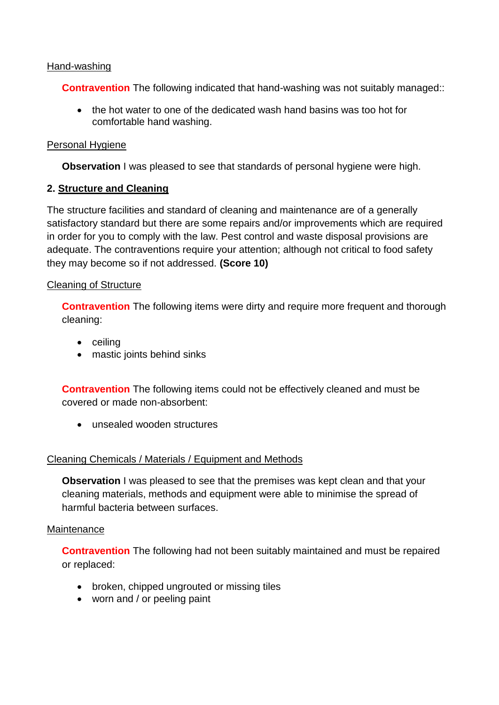#### Hand-washing

**Contravention** The following indicated that hand-washing was not suitably managed:

 the hot water to one of the dedicated wash hand basins was too hot for comfortable hand washing.

### Personal Hygiene

**Observation** I was pleased to see that standards of personal hygiene were high.

### **2. Structure and Cleaning**

The structure facilities and standard of cleaning and maintenance are of a generally satisfactory standard but there are some repairs and/or improvements which are required in order for you to comply with the law. Pest control and waste disposal provisions are adequate. The contraventions require your attention; although not critical to food safety they may become so if not addressed. **(Score 10)**

### Cleaning of Structure

**Contravention** The following items were dirty and require more frequent and thorough cleaning:

- ceiling
- mastic joints behind sinks

**Contravention** The following items could not be effectively cleaned and must be covered or made non-absorbent:

unsealed wooden structures

### Cleaning Chemicals / Materials / Equipment and Methods

**Observation** I was pleased to see that the premises was kept clean and that your cleaning materials, methods and equipment were able to minimise the spread of harmful bacteria between surfaces.

#### **Maintenance**

**Contravention** The following had not been suitably maintained and must be repaired or replaced:

- broken, chipped ungrouted or missing tiles
- worn and / or peeling paint